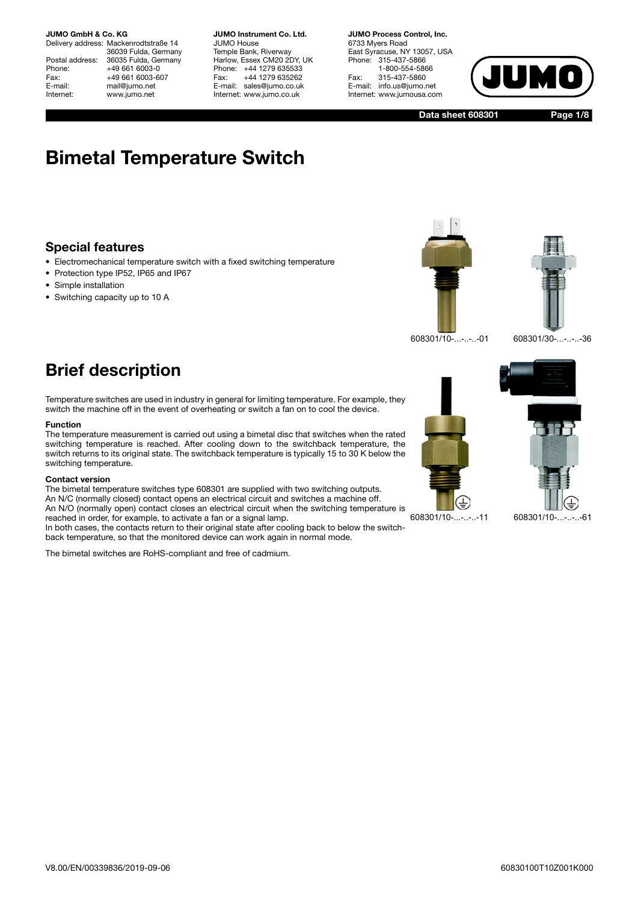Delivery address: Mackenrodtstraße 14 36039 Fulda, Germany Postal address: 36035 Fulda, Germany<br>Phone: +49 661 6003-0 Phone: +49 661 6003-0<br>Fax: +49 661 6003-6 Fax: +49 661 6003-607<br>E-mail: mail@iumo.net mail@jumo.net Internet: www.jumo.net

**JUMO Instrument Co. Ltd.** JUMO House Temple Bank, Riverway Harlow, Essex CM20 2DY, UK Phone: +44 1279 635533 Fax: +44 1279 635262 E-mail: sales@jumo.co.uk Internet: www.jumo.co.uk

**JUMO Process Control, Inc.** 6733 Myers Road East Syracuse, NY 13057, USA Phone: 315-437-5866 1-800-554-5866 Fax: 315-437-5860 E-mail: info.us@jumo.net Internet: www.jumousa.com



**Data sheet 608301**

**Page 1/8**

# **Bimetal Temperature Switch**

### **Special features**

- Electromechanical temperature switch with a fixed switching temperature
- Protection type IP52, IP65 and IP67
- Simple installation
- Switching capacity up to 10 A





608301/10-...-..-..-01 608301/30-...-..-..-36

### **Brief description**

Temperature switches are used in industry in general for limiting temperature. For example, they switch the machine off in the event of overheating or switch a fan on to cool the device.

#### **Function**

The temperature measurement is carried out using a bimetal disc that switches when the rated switching temperature is reached. After cooling down to the switchback temperature, the switch returns to its original state. The switchback temperature is typically 15 to 30 K below the switching temperature.

#### **Contact version**

The bimetal temperature switches type 608301 are supplied with two switching outputs. An N/C (normally closed) contact opens an electrical circuit and switches a machine off. An N/O (normally open) contact closes an electrical circuit when the switching temperature is reached in order, for example, to activate a fan or a signal lamp.

In both cases, the contacts return to their original state after cooling back to below the switchback temperature, so that the monitored device can work again in normal mode.

The bimetal switches are RoHS-compliant and free of cadmium.



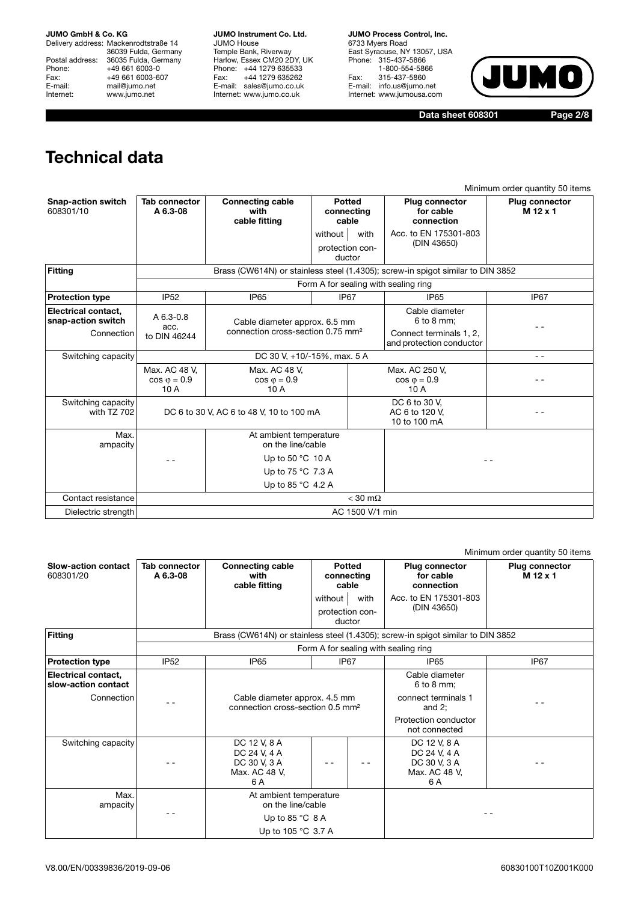Delivery address: Mackenrodtstraße 14 36039 Fulda, Germany Postal address: 36035 Fulda, Germany Phone: +49 661 6003-0<br>Fax: +49 661 6003-60 Fax: +49 661 6003-607<br>E-mail: mail@jumo.net E-mail: mail@jumo.net<br>
Internet: www.iumo.net www.jumo.net

**JUMO Instrument Co. Ltd.** JUMO House Temple Bank, Riverway Harlow, Essex CM20 2DY, UK Phone: +44 1279 635533<br>Fax: +44 1279 635262 +44 1279 635262 E-mail: sales@jumo.co.uk Internet: www.jumo.co.uk

**JUMO Process Control, Inc.** 6733 Myers Road East Syracuse, NY 13057, USA Phone: 315-437-5866 1-800-554-5866 Fax: 315-437-5860 E-mail: info.us@jumo.net Internet: www.jumousa.com



**Data sheet 608301 Page 2/8**

## **Technical data**

|                                           |                                                                                                                         |                                                  |                                      |                   |                                                     | Minimum order quantity 50 items   |  |  |  |  |  |  |  |
|-------------------------------------------|-------------------------------------------------------------------------------------------------------------------------|--------------------------------------------------|--------------------------------------|-------------------|-----------------------------------------------------|-----------------------------------|--|--|--|--|--|--|--|
| <b>Snap-action switch</b><br>608301/10    | <b>Tab connector</b><br>A 6.3-08                                                                                        | <b>Connecting cable</b><br>with<br>cable fitting | Potted<br>connecting<br>cable        |                   | <b>Plug connector</b><br>for cable<br>connection    | <b>Plug connector</b><br>M 12 x 1 |  |  |  |  |  |  |  |
|                                           |                                                                                                                         |                                                  | without<br>protection con-<br>ductor | with              | Acc. to EN 175301-803<br>(DIN 43650)                |                                   |  |  |  |  |  |  |  |
| <b>Fitting</b>                            | Brass (CW614N) or stainless steel (1.4305); screw-in spigot similar to DIN 3852<br>Form A for sealing with sealing ring |                                                  |                                      |                   |                                                     |                                   |  |  |  |  |  |  |  |
|                                           |                                                                                                                         |                                                  |                                      |                   |                                                     |                                   |  |  |  |  |  |  |  |
| <b>Protection type</b>                    | <b>IP52</b>                                                                                                             | IP <sub>65</sub>                                 | IP <sub>67</sub>                     |                   | <b>IP65</b>                                         | IP67                              |  |  |  |  |  |  |  |
| Electrical contact,<br>snap-action switch | $A\,6.3-0.8$<br>acc.                                                                                                    | Cable diameter approx. 6.5 mm                    |                                      |                   | Cable diameter<br>6 to 8 mm;                        |                                   |  |  |  |  |  |  |  |
| Connection                                | to DIN 46244                                                                                                            | connection cross-section 0.75 mm <sup>2</sup>    |                                      |                   | Connect terminals 1, 2,<br>and protection conductor |                                   |  |  |  |  |  |  |  |
| Switching capacity                        |                                                                                                                         | DC 30 V, +10/-15%, max. 5 A                      |                                      |                   | $ -$                                                |                                   |  |  |  |  |  |  |  |
|                                           | Max. AC 48 V.<br>$\cos \varphi = 0.9$<br>10 A                                                                           | Max. AC 48 V.<br>$\cos \varphi = 0.9$<br>10 A    |                                      |                   | Max. AC 250 V.<br>$\cos \varphi = 0.9$<br>10 A      |                                   |  |  |  |  |  |  |  |
| Switching capacity<br>with TZ 702         |                                                                                                                         | DC 6 to 30 V, AC 6 to 48 V, 10 to 100 mA         |                                      |                   | DC 6 to 30 V.<br>AC 6 to 120 V.<br>10 to 100 mA     |                                   |  |  |  |  |  |  |  |
| Max.<br>ampacity                          |                                                                                                                         | At ambient temperature<br>on the line/cable      |                                      |                   |                                                     |                                   |  |  |  |  |  |  |  |
|                                           |                                                                                                                         | Up to 50 $^{\circ}$ C 10 A                       |                                      |                   |                                                     |                                   |  |  |  |  |  |  |  |
|                                           |                                                                                                                         |                                                  |                                      |                   |                                                     |                                   |  |  |  |  |  |  |  |
|                                           |                                                                                                                         |                                                  |                                      |                   |                                                     |                                   |  |  |  |  |  |  |  |
| Contact resistance                        |                                                                                                                         |                                                  |                                      | $<$ 30 m $\Omega$ |                                                     |                                   |  |  |  |  |  |  |  |
| Dielectric strength                       |                                                                                                                         |                                                  | AC 1500 V/1 min                      |                   |                                                     |                                   |  |  |  |  |  |  |  |

|                                            |                                      |                                                                               |                                      |                                      |                                                                                 | Minimum order quantity 50 items   |  |  |  |  |  |  |  |
|--------------------------------------------|--------------------------------------|-------------------------------------------------------------------------------|--------------------------------------|--------------------------------------|---------------------------------------------------------------------------------|-----------------------------------|--|--|--|--|--|--|--|
| <b>Slow-action contact</b><br>608301/20    | Tab connector<br>A 6.3-08            | <b>Connecting cable</b><br>with<br>cable fitting                              |                                      | <b>Potted</b><br>connecting<br>cable | <b>Plug connector</b><br>for cable<br>connection                                | <b>Plug connector</b><br>M 12 x 1 |  |  |  |  |  |  |  |
|                                            |                                      |                                                                               | without<br>protection con-<br>ductor | Acc. to EN 175301-803<br>(DIN 43650) |                                                                                 |                                   |  |  |  |  |  |  |  |
| <b>Fitting</b>                             |                                      |                                                                               |                                      |                                      | Brass (CW614N) or stainless steel (1.4305); screw-in spigot similar to DIN 3852 |                                   |  |  |  |  |  |  |  |
|                                            | Form A for sealing with sealing ring |                                                                               |                                      |                                      |                                                                                 |                                   |  |  |  |  |  |  |  |
| <b>Protection type</b>                     | <b>IP52</b>                          | <b>IP65</b>                                                                   |                                      | IP67                                 | IP <sub>67</sub><br>IP <sub>65</sub>                                            |                                   |  |  |  |  |  |  |  |
| Electrical contact,<br>slow-action contact |                                      |                                                                               |                                      |                                      | Cable diameter<br>6 to 8 mm;                                                    |                                   |  |  |  |  |  |  |  |
| Connection                                 |                                      | Cable diameter approx. 4.5 mm<br>connection cross-section 0.5 mm <sup>2</sup> |                                      |                                      | connect terminals 1<br>and $2$ ;                                                |                                   |  |  |  |  |  |  |  |
|                                            |                                      |                                                                               |                                      |                                      | Protection conductor<br>not connected                                           |                                   |  |  |  |  |  |  |  |
| Switching capacity                         |                                      | DC 12 V, 8 A<br>DC 24 V, 4 A<br>DC 30 V, 3 A<br>Max. AC 48 V,<br>6 A          |                                      |                                      | DC 12 V, 8 A<br>DC 24 V, 4 A<br>DC 30 V, 3 A<br>Max. AC 48 V,<br>6 A            |                                   |  |  |  |  |  |  |  |
| Max.<br>ampacity                           |                                      | At ambient temperature<br>on the line/cable                                   |                                      |                                      |                                                                                 |                                   |  |  |  |  |  |  |  |
|                                            |                                      | Up to 85 $°C$ 8 A<br>Up to 105 °C 3.7 A                                       |                                      |                                      |                                                                                 |                                   |  |  |  |  |  |  |  |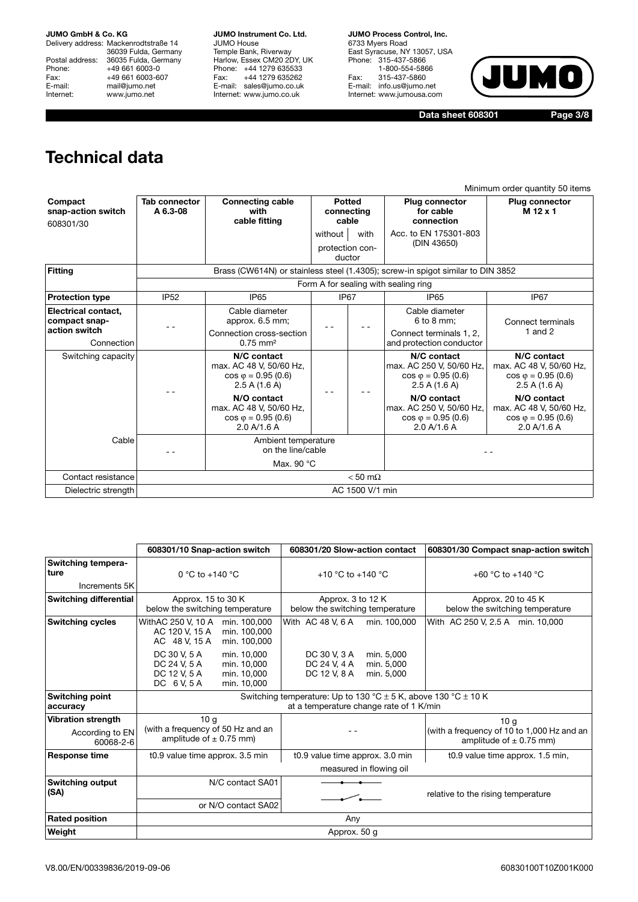Delivery address: Mackenrodtstraße 14 36039 Fulda, Germany Postal address: 36035 Fulda, Germany Phone: +49 661 6003-0<br>Fax: +49 661 6003-60 Fax: +49 661 6003-607<br>E-mail: mail@jumo.net E-mail: mail@jumo.net<br>Internet: www.iumo.net www.jumo.net

**JUMO Instrument Co. Ltd.** JUMO House Temple Bank, Riverway Harlow, Essex CM20 2DY, UK Phone: +44 1279 635533 Fax: +44 1279 635262 E-mail: sales@jumo.co.uk Internet: www.jumo.co.uk

**JUMO Process Control, Inc.** 6733 Myers Road East Syracuse, NY 13057, USA Phone: 315-437-5866 1-800-554-5866 Fax: 315-437-5860 E-mail: info.us@jumo.net Internet: www.jumousa.com



**Data sheet 608301 Page 3/8**

## **Technical data**

|                                            |                                      |                                                                                        |                                              |                                                                                         | Minimum order quantity 50 items                                                        |  |  |  |  |  |  |  |
|--------------------------------------------|--------------------------------------|----------------------------------------------------------------------------------------|----------------------------------------------|-----------------------------------------------------------------------------------------|----------------------------------------------------------------------------------------|--|--|--|--|--|--|--|
| Compact<br>snap-action switch<br>608301/30 | Tab connector<br>A 6.3-08            | <b>Connecting cable</b><br>with<br>cable fitting                                       | Potted<br>connecting<br>cable                | <b>Plug connector</b><br>for cable<br>connection                                        | <b>Plug connector</b><br>M 12 x 1                                                      |  |  |  |  |  |  |  |
|                                            |                                      |                                                                                        | without<br>with<br>protection con-<br>ductor | Acc. to EN 175301-803<br>(DIN 43650)                                                    |                                                                                        |  |  |  |  |  |  |  |
| Fitting                                    |                                      |                                                                                        |                                              | Brass (CW614N) or stainless steel (1.4305); screw-in spigot similar to DIN 3852         |                                                                                        |  |  |  |  |  |  |  |
|                                            | Form A for sealing with sealing ring |                                                                                        |                                              |                                                                                         |                                                                                        |  |  |  |  |  |  |  |
| <b>Protection type</b>                     | <b>IP52</b>                          | IP <sub>65</sub>                                                                       | IP67                                         | IP <sub>65</sub>                                                                        | IP <sub>67</sub>                                                                       |  |  |  |  |  |  |  |
| Electrical contact,<br>compact snap-       |                                      | Cable diameter<br>approx. 6.5 mm;                                                      | $ -$                                         | Cable diameter<br>6 to 8 mm:                                                            | Connect terminals<br>1 and $2$                                                         |  |  |  |  |  |  |  |
| action switch<br>Connection                |                                      | Connection cross-section<br>$0.75 \, \text{mm}^2$                                      |                                              | Connect terminals 1, 2,<br>and protection conductor                                     |                                                                                        |  |  |  |  |  |  |  |
| Switching capacity                         |                                      | N/C contact<br>max. AC 48 V, 50/60 Hz,<br>$\cos \varphi = 0.95$ (0.6)<br>2.5 A (1.6 A) | $ -$<br>$ -$                                 | N/C contact<br>max. AC 250 V, 50/60 Hz,<br>$\cos \varphi = 0.95$ (0.6)<br>2.5 A (1.6 A) | N/C contact<br>max. AC 48 V, 50/60 Hz,<br>$\cos \varphi = 0.95$ (0.6)<br>2.5 A (1.6 A) |  |  |  |  |  |  |  |
|                                            |                                      | N/O contact<br>max. AC 48 V, 50/60 Hz,<br>$\cos \varphi = 0.95$ (0.6)<br>2.0 A/1.6 A   |                                              | N/O contact<br>max. AC 250 V, 50/60 Hz,<br>$\cos \varphi = 0.95$ (0.6)<br>2.0 A/1.6 A   | N/O contact<br>max. AC 48 V, 50/60 Hz,<br>$\cos \varphi = 0.95 (0.6)$<br>2.0 A/1.6 A   |  |  |  |  |  |  |  |
| Cable                                      |                                      | Ambient temperature<br>on the line/cable                                               |                                              |                                                                                         |                                                                                        |  |  |  |  |  |  |  |
|                                            |                                      | Max. 90 °C                                                                             |                                              |                                                                                         |                                                                                        |  |  |  |  |  |  |  |
| Contact resistance                         |                                      |                                                                                        | $< 50$ m $\Omega$                            |                                                                                         |                                                                                        |  |  |  |  |  |  |  |
| Dielectric strength                        |                                      |                                                                                        | AC 1500 V/1 min                              |                                                                                         |                                                                                        |  |  |  |  |  |  |  |

|                                                           | 608301/10 Snap-action switch                                                                                           | 608301/20 Slow-action contact                                                                                     | 608301/30 Compact snap-action switch                                                         |  |  |  |  |  |  |  |  |  |  |
|-----------------------------------------------------------|------------------------------------------------------------------------------------------------------------------------|-------------------------------------------------------------------------------------------------------------------|----------------------------------------------------------------------------------------------|--|--|--|--|--|--|--|--|--|--|
| <b>Switching tempera-</b><br><b>ture</b>                  | 0 °C to +140 °C                                                                                                        | +10 °C to +140 °C                                                                                                 | +60 °C to +140 °C                                                                            |  |  |  |  |  |  |  |  |  |  |
| Increments 5K                                             |                                                                                                                        |                                                                                                                   |                                                                                              |  |  |  |  |  |  |  |  |  |  |
| <b>Switching differential</b>                             | Approx. 15 to 30 K<br>below the switching temperature                                                                  | Approx. 3 to 12 K<br>below the switching temperature                                                              | Approx. 20 to 45 K<br>below the switching temperature                                        |  |  |  |  |  |  |  |  |  |  |
| <b>Switching cycles</b>                                   | WithAC 250 V, 10 A<br>min. 100,000<br>AC 120 V. 15 A<br>min. 100.000<br>AC 48 V, 15 A<br>min. 100,000                  | With AC 48 V, 6 A<br>min. 100.000                                                                                 | With AC 250 V, 2.5 A min. 10,000                                                             |  |  |  |  |  |  |  |  |  |  |
|                                                           | DC 30 V, 5 A<br>min. 10.000<br>DC 24 V, 5 A<br>min. 10.000<br>DC 12 V.5 A<br>min. 10.000<br>DC 6 V, 5 A<br>min. 10,000 | DC 30 V. 3 A<br>min. 5.000<br>DC 24 V, 4 A<br>min. 5,000<br>DC 12 V.8 A<br>min. 5.000                             |                                                                                              |  |  |  |  |  |  |  |  |  |  |
| <b>Switching point</b><br>accuracy                        |                                                                                                                        | Switching temperature: Up to 130 °C $\pm$ 5 K, above 130 °C $\pm$ 10 K<br>at a temperature change rate of 1 K/min |                                                                                              |  |  |  |  |  |  |  |  |  |  |
| <b>Vibration strength</b><br>According to EN<br>60068-2-6 | 10q<br>(with a frequency of 50 Hz and an<br>amplitude of $\pm$ 0.75 mm)                                                |                                                                                                                   | 10 <sub>a</sub><br>(with a frequency of 10 to 1,000 Hz and an<br>amplitude of $\pm$ 0.75 mm) |  |  |  |  |  |  |  |  |  |  |
| <b>Response time</b>                                      | t0.9 value time approx. 3.5 min                                                                                        | t0.9 value time approx. 3.0 min<br>measured in flowing oil                                                        | t0.9 value time approx. 1.5 min,                                                             |  |  |  |  |  |  |  |  |  |  |
| <b>Switching output</b><br>(SA)                           | N/C contact SA01                                                                                                       |                                                                                                                   | relative to the rising temperature                                                           |  |  |  |  |  |  |  |  |  |  |
|                                                           | or N/O contact SA02                                                                                                    |                                                                                                                   |                                                                                              |  |  |  |  |  |  |  |  |  |  |
| <b>Rated position</b>                                     |                                                                                                                        | Any                                                                                                               |                                                                                              |  |  |  |  |  |  |  |  |  |  |
| Weight                                                    |                                                                                                                        | Approx. 50 g                                                                                                      |                                                                                              |  |  |  |  |  |  |  |  |  |  |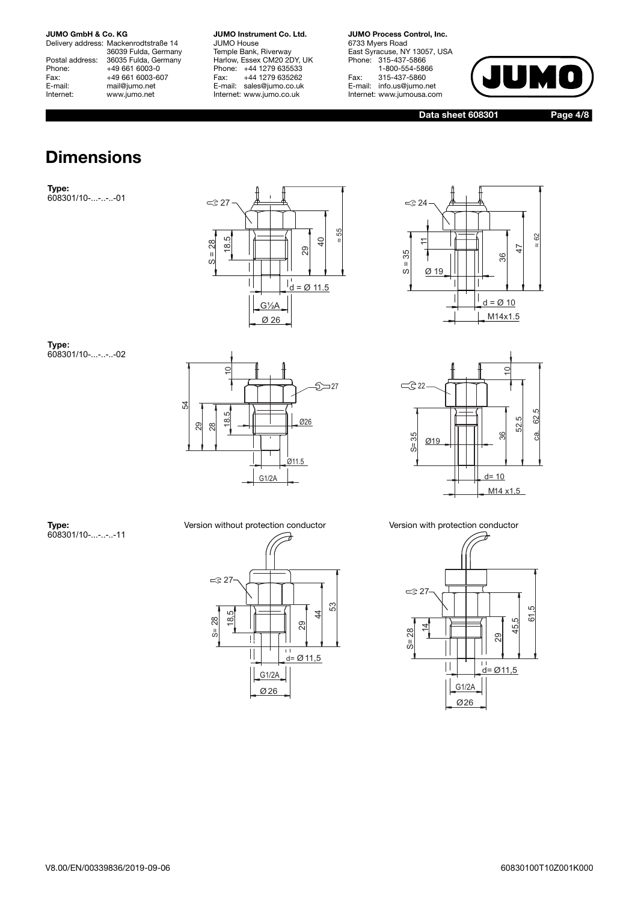Delivery address: Mackenrodtstraße 14 36039 Fulda, Germany Postal address: 36035 Fulda, Germany<br>Phone: +49 661 6003-0 Phone: +49 661 6003-0<br>Fax: +49 661 6003-6 Fax: +49 661 6003-607<br>E-mail: mail@jumo.net mail@jumo.net Internet: www.jumo.net

**JUMO Instrument Co. Ltd.** JUMO House Temple Bank, Riverway Harlow, Essex CM20 2DY, UK Phone: +44 1279 635533<br>Fax: +44 1279 635262 +44 1279 635262 E-mail: sales@jumo.co.uk Internet: www.jumo.co.uk

**JUMO Process Control, Inc.** 6733 Myers Road East Syracuse, NY 13057, USA Phone: 315-437-5866 1-800-554-5866 Fax: 315-437-5860 E-mail: info.us@jumo.net Internet: www.jumousa.com



**Data sheet 608301 Page 4/8**

### **Dimensions**

**Type:** 608301/10-...-..-..-01





**Type:** 608301/10-...-..-..-02







**Type:** 608301/10-...-..-..-11

28 18,5

 $\leq$  27

S=

Ø26 G1/2A

Π  $\overline{\mathsf{I}}$ 

 $\frac{11}{d} = \emptyset$  11,5

29

53

44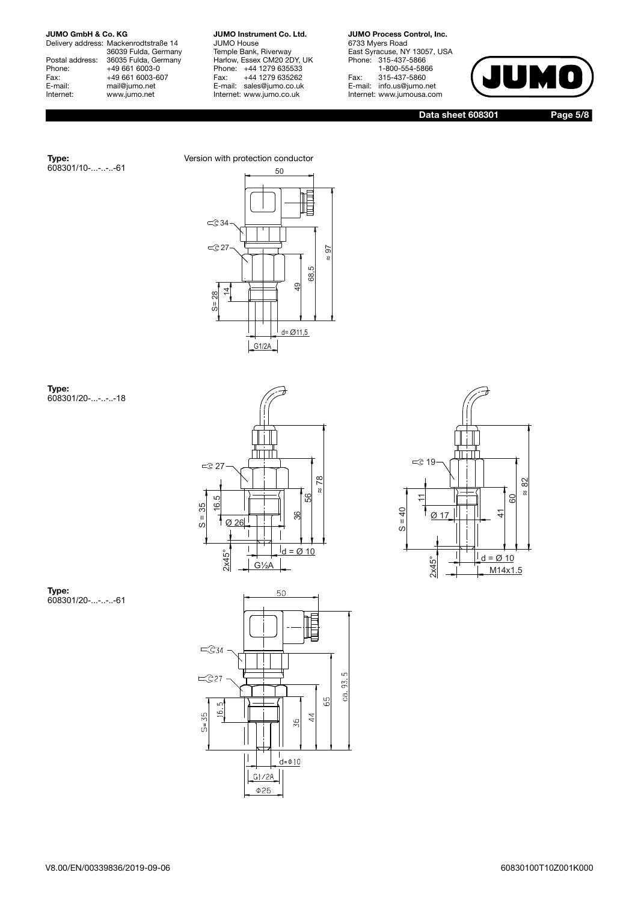608301/10-...-..-..-61

**Type:**

Delivery address: Mackenrodtstraße 14 36039 Fulda, Germany Postal address: 36035 Fulda, Germany Phone: +49 661 6003-0<br>Fax: +49 661 6003-6 Fax: +49 661 6003-607<br>E-mail: mail@jumo.net E-mail: mail@jumo.net<br>
Internet: www.iumo.net www.jumo.net

**JUMO Instrument Co. Ltd.** JUMO House Temple Bank, Riverway Harlow, Essex CM20 2DY, UK Phone: +44 1279 635533<br>Fax: +44 1279 635262 +44 1279 635262 E-mail: sales@jumo.co.uk Internet: www.jumo.co.uk

**JUMO Process Control, Inc.** 6733 Myers Road East Syracuse, NY 13057, USA Phone: 315-437-5866 1-800-554-5866 Fax: 315-437-5860 E-mail: info.us@jumo.net Internet: www.jumousa.com



**Data sheet 608301 Page 5/8**



**Type:** 608301/20-...-..-..-18







**Type:** 608301/20-...-..-..-61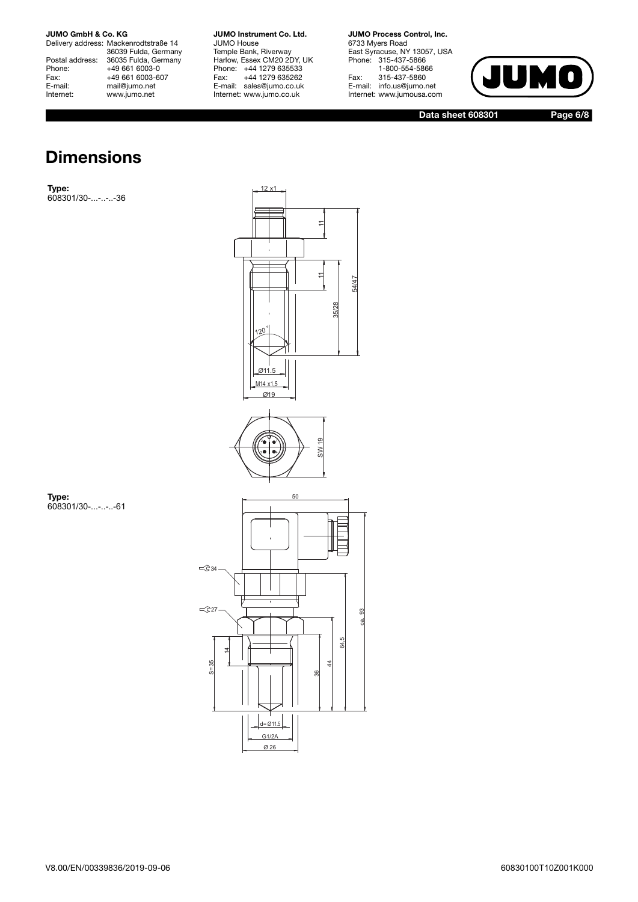Delivery address: Mackenrodtstraße 14 36039 Fulda, Germany Postal address: 36035 Fulda, Germany Phone: +49 661 6003-0<br>Fax: +49 661 6003-6 Fax: +49 661 6003-607<br>E-mail: mail@jumo.net E-mail: mail@jumo.net<br>
Internet: www.iumo.net www.jumo.net

**JUMO Instrument Co. Ltd.** JUMO House Temple Bank, Riverway Harlow, Essex CM20 2DY, UK Phone: +44 1279 635533<br>Fax: +44 1279 635262 +44 1279 635262 E-mail: sales@jumo.co.uk Internet: www.jumo.co.uk

12 x1

 $\overline{\tau}$ 

**JUMO Process Control, Inc.** 6733 Myers Road East Syracuse, NY 13057, USA Phone: 315-437-5866 1-800-554-5866 Fax: 315-437-5860 E-mail: info.us@jumo.net Internet: www.jumousa.com



**Data sheet 608301 Page 6/8**

### **Dimensions**

**Type:** 608301/30-...-..-..-36

> 11 11  $\overline{ }$ 54/47 35/28 120 ° Ø11.5  $M14 \times 1,5$ Ø19 SW 19  $\bullet$   $\bullet$ ه م 50  $\leq$ 34  $\leq 27$ 93 ca. 64,5 14  $\overline{4}$  $35$ 36 d= Ø11.5 G1/2A

> > Ø 26

**Type:** 608301/30-...-..-..-61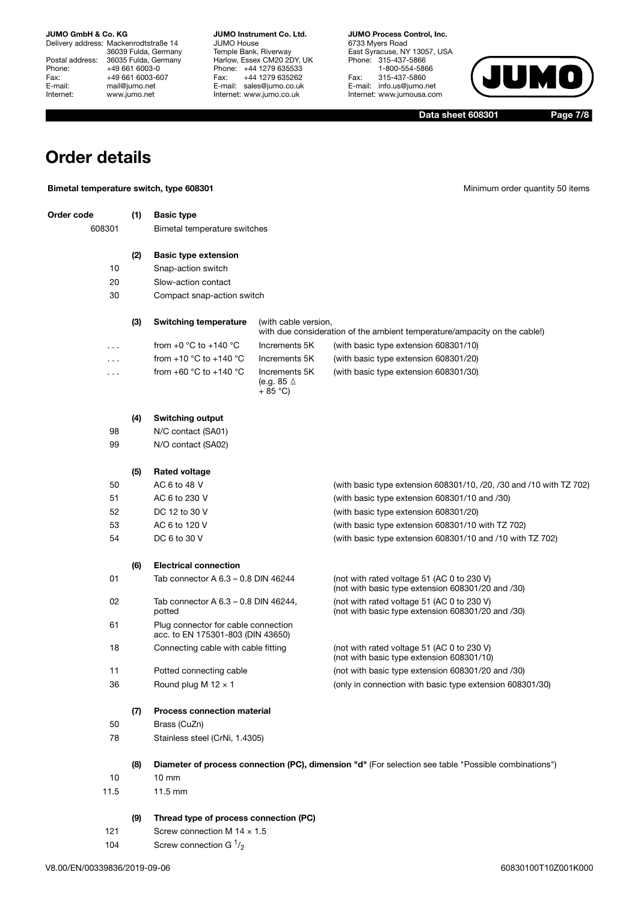Delivery address: Mackenrodtstraße 14 36039 Fulda, Germany Postal address: 36035 Fulda, Germany Phone: +49 661 6003-0<br>Fax: +49 661 6003-60 Fax: +49 661 6003-607<br>E-mail: mail@jumo.net E-mail: mail@jumo.net<br>Internet: www.iumo.net www.jumo.net

**JUMO Instrument Co. Ltd.** JUMO House Temple Bank, Riverway Harlow, Essex CM20 2DY, UK Phone: +44 1279 635533 Fax: +44 1279 635262 E-mail: sales@jumo.co.uk Internet: www.jumo.co.uk

**JUMO Process Control, Inc.** 6733 Myers Road East Syracuse, NY 13057, USA Phone: 315-437-5866 1-800-554-5866 Fax: 315-437-5860 E-mail: info.us@jumo.net Internet: www.jumousa.com



**Data sheet 608301 Page 7/8**

### **Order details**

| Order code<br>(1)<br><b>Basic type</b><br>608301<br>Bimetal temperature switches<br>(2)<br><b>Basic type extension</b>                                  |  |
|---------------------------------------------------------------------------------------------------------------------------------------------------------|--|
|                                                                                                                                                         |  |
|                                                                                                                                                         |  |
|                                                                                                                                                         |  |
| 10<br>Snap-action switch                                                                                                                                |  |
| 20<br>Slow-action contact                                                                                                                               |  |
| 30<br>Compact snap-action switch                                                                                                                        |  |
| (3)<br><b>Switching temperature</b><br>(with cable version,<br>with due consideration of the ambient temperature/ampacity on the cable!)                |  |
| from $+0$ °C to $+140$ °C<br>Increments 5K<br>(with basic type extension 608301/10)<br>.                                                                |  |
| from $+10$ °C to $+140$ °C<br>Increments 5K<br>(with basic type extension 608301/20)<br>.                                                               |  |
| from $+60$ °C to $+140$ °C<br>Increments 5K<br>(with basic type extension 608301/30)<br>.<br>(e.g. 85 $\triangle$<br>$+85$ °C)                          |  |
| (4)<br><b>Switching output</b>                                                                                                                          |  |
| 98<br>N/C contact (SA01)                                                                                                                                |  |
| 99<br>N/O contact (SA02)                                                                                                                                |  |
| (5)<br><b>Rated voltage</b>                                                                                                                             |  |
| 50<br>AC 6 to 48 V<br>(with basic type extension 608301/10, /20, /30 and /10 with TZ 702)                                                               |  |
| 51<br>AC 6 to 230 V<br>(with basic type extension 608301/10 and /30)                                                                                    |  |
| 52<br>DC 12 to 30 V<br>(with basic type extension 608301/20)                                                                                            |  |
| 53<br>AC 6 to 120 V<br>(with basic type extension 608301/10 with TZ 702)                                                                                |  |
| 54<br>DC 6 to 30 V<br>(with basic type extension 608301/10 and /10 with TZ 702)                                                                         |  |
| <b>Electrical connection</b><br>(6)                                                                                                                     |  |
| 01<br>Tab connector A 6.3 - 0.8 DIN 46244<br>(not with rated voltage 51 (AC 0 to 230 V)<br>(not with basic type extension 608301/20 and /30)            |  |
| 02<br>(not with rated voltage 51 (AC 0 to 230 V)<br>Tab connector A 6.3 – 0.8 DIN 46244,<br>potted<br>(not with basic type extension 608301/20 and /30) |  |
| 61<br>Plug connector for cable connection<br>acc. to EN 175301-803 (DIN 43650)                                                                          |  |
| 18<br>Connecting cable with cable fitting<br>(not with rated voltage 51 (AC 0 to 230 V)<br>(not with basic type extension 608301/10)                    |  |
| 11<br>Potted connecting cable<br>(not with basic type extension 608301/20 and /30)                                                                      |  |
| 36<br>Round plug M $12 \times 1$<br>(only in connection with basic type extension 608301/30)                                                            |  |
| <b>Process connection material</b><br>(7)                                                                                                               |  |
| 50<br>Brass (CuZn)                                                                                                                                      |  |
| 78<br>Stainless steel (CrNi, 1.4305)                                                                                                                    |  |
| Diameter of process connection (PC), dimension "d" (For selection see table "Possible combinations")<br>(8)                                             |  |
| 10<br>$10 \, \text{mm}$                                                                                                                                 |  |
| 11.5<br>11.5 mm                                                                                                                                         |  |
| Thread type of process connection (PC)<br>(9)                                                                                                           |  |
| 121<br>Screw connection M $14 \times 1.5$                                                                                                               |  |
| Screw connection G $\frac{1}{2}$<br>104                                                                                                                 |  |